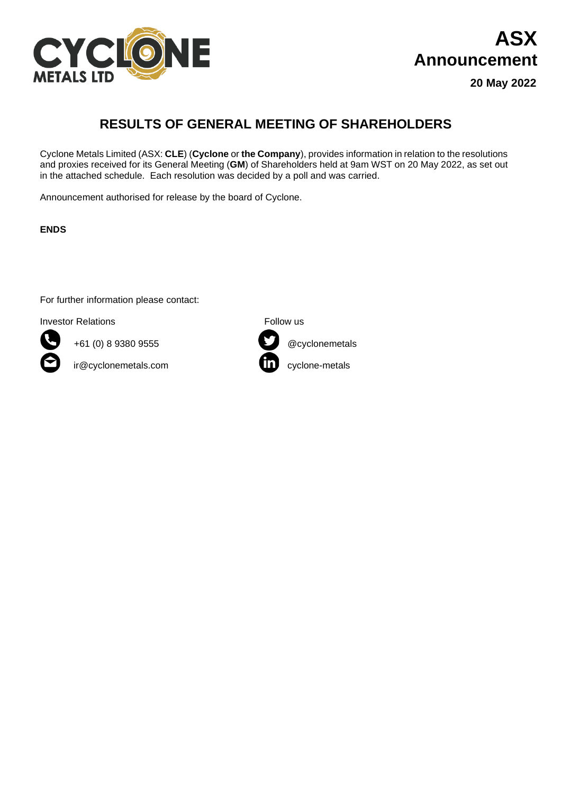

## **ASX Announcement**

**20 May 2022**

## **RESULTS OF GENERAL MEETING OF SHAREHOLDERS**

Cyclone Metals Limited (ASX: **CLE**) (**Cyclone** or **the Company**), provides information in relation to the resolutions and proxies received for its General Meeting (**GM**) of Shareholders held at 9am WST on 20 May 2022, as set out in the attached schedule. Each resolution was decided by a poll and was carried.

Announcement authorised for release by the board of Cyclone.

**ENDS**

For further information please contact:

Investor Relations **Follow** us



+61 (0) 8 9380 9555 @cyclonemetals

ir@cyclonemetals.com cyclone-metals